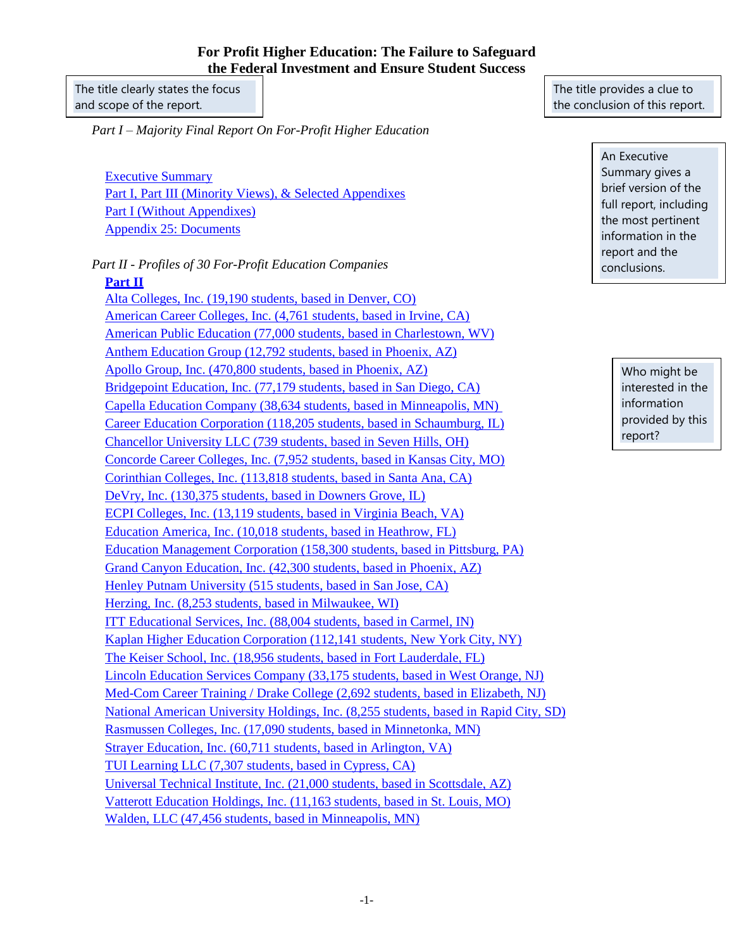## **For Profit Higher Education: The Failure to Safeguard the Federal Investment and Ensure Student Success**

The title clearly states the focus and scope of the report.

*Part I – Majority Final Report On For-Profit Higher Education*

[Executive Summary](http://help.senate.gov/imo/media/for_profit_report/ExecutiveSummary.pdf) [Part I, Part III \(Minority Views\), & Selected Appendixes](http://help.senate.gov/imo/media/for_profit_report/PartI-PartIII-SelectedAppendixes.pdf) [Part I \(Without Appendixes\)](http://help.senate.gov/imo/media/for_profit_report/PartI.pdf) [Appendix 25: Documents](http://help.senate.gov/imo/media/for_profit_report/Appendixes/Appendix_25/TableOfDocuments.pdf)

*Part II - Profiles of 30 For-Profit Education Companies*

## **[Part II](http://help.senate.gov/imo/media/for_profit_report/PartII.pdf)**

[Alta Colleges, Inc. \(19,190 students, based in Denver, CO\)](http://help.senate.gov/imo/media/for_profit_report/PartII/Alta.pdf) [American Career Colleges, Inc. \(4,761 students, based in Irvine, CA\)](http://help.senate.gov/imo/media/for_profit_report/PartII/ACC.pdf) [American Public Education \(77,000 students, based in Charlestown, WV\)](http://help.senate.gov/imo/media/for_profit_report/PartII/APEI.pdf) [Anthem Education Group \(12,792 students, based in Phoenix, AZ\)](http://help.senate.gov/imo/media/for_profit_report/PartII/Anthem.pdf) [Apollo Group, Inc. \(470,800 students, based in Phoenix, AZ\)](http://help.senate.gov/imo/media/for_profit_report/PartII/Apollo.pdf) [Bridgepoint Education, Inc. \(77,179 students, based in San Diego, CA\)](http://help.senate.gov/imo/media/for_profit_report/PartII/Bridgepoint.pdf) [Capella Education Company \(38,634 students, based in Minneapolis, MN\)](http://help.senate.gov/imo/media/for_profit_report/PartII/Capella.pdf) [Career Education Corporation \(118,205 students, based in Schaumburg, IL\)](http://help.senate.gov/imo/media/for_profit_report/PartII/CEC.pdf) [Chancellor University LLC \(739 students, based](http://help.senate.gov/imo/media/for_profit_report/PartII/Chancellor.pdf) in Seven Hills, OH) [Concorde Career Colleges, Inc. \(7,952 students, based in Kansas City, MO\)](http://help.senate.gov/imo/media/for_profit_report/PartII/Concorde.pdf) [Corinthian Colleges, Inc. \(113,818 students, based in Santa Ana, CA\)](http://help.senate.gov/imo/media/for_profit_report/PartII/Corinthian.pdf) [DeVry, Inc. \(130,375 students, based in Downers Grove, IL\)](http://help.senate.gov/imo/media/for_profit_report/PartII/DeVry.pdf) [ECPI Colleges, Inc. \(13,119 students, based in Virginia Beach, VA\)](http://help.senate.gov/imo/media/for_profit_report/PartII/ECPI.pdf) [Education America, Inc. \(10,018 students, based in Heathrow, FL\)](http://help.senate.gov/imo/media/for_profit_report/PartII/EducationAmerica.pdf) [Education Management Corporation \(158,300 students, based](http://help.senate.gov/imo/media/for_profit_report/PartII/EDMC.pdf) in Pittsburg, PA) [Grand Canyon Education, Inc. \(42,300 students, based in Phoenix, AZ\)](http://help.senate.gov/imo/media/for_profit_report/PartII/GrandCanyon.pdf) [Henley Putnam University \(515 students, based in San Jose, CA\)](http://help.senate.gov/imo/media/for_profit_report/PartII/HenleyPutnam.pdf) [Herzing, Inc. \(8,253 students, based in Milwaukee, WI\)](http://help.senate.gov/imo/media/for_profit_report/PartII/Herzing.pdf) [ITT Educational Services, Inc. \(88,004 students, based in Carmel, IN\)](http://help.senate.gov/imo/media/for_profit_report/PartII/ITT.pdf) [Kaplan Higher Education Corporation \(112,141 students, New York City, NY\)](http://help.senate.gov/imo/media/for_profit_report/PartII/Kaplan.pdf) [The Keiser School, Inc. \(18,956 students, based in Fort Lauderdale, FL\)](http://help.senate.gov/imo/media/for_profit_report/PartII/Keiser.pdf) [Lincoln Education Services Company \(33,175 students, based in West Orange, NJ\)](http://help.senate.gov/imo/media/for_profit_report/PartII/Lincoln.pdf) [Med-Com Career Training / Drake College \(2,692 students, based in Elizabeth, NJ\)](http://help.senate.gov/imo/media/for_profit_report/PartII/Med-ComDrake.pdf) [National American University Holdings, Inc. \(8,255 students, based in](http://help.senate.gov/imo/media/for_profit_report/PartII/NAU.pdf) Rapid City, SD) [Rasmussen Colleges, Inc. \(17,090 students, based in Minnetonka, MN\)](http://help.senate.gov/imo/media/for_profit_report/PartII/Rasmussen.pdf) [Strayer Education, Inc. \(60,711 students, based in Arlington, VA\)](http://help.senate.gov/imo/media/for_profit_report/PartII/Strayer.pdf) [TUI Learning LLC \(7,307 students, based in Cypress, CA\)](http://help.senate.gov/imo/media/for_profit_report/PartII/TUI.pdf) [Universal Technical Institute, Inc. \(21,000 students, based in Scottsdale, AZ\)](http://help.senate.gov/imo/media/for_profit_report/PartII/UTI.pdf) [Vatterott Education Holdings, Inc. \(11,163 students, based in St. Louis, MO\)](http://help.senate.gov/imo/media/for_profit_report/PartII/Vatterott.pdf) [Walden, LLC \(47,456 students, based in Minneapolis, MN\)](http://help.senate.gov/imo/media/for_profit_report/PartII/Walden.pdf)

The title provides a clue to the conclusion of this report.

> An Executive Summary gives a brief version of the full report, including the most pertinent information in the report and the conclusions.

> > Who might be interested in the information provided by this report?